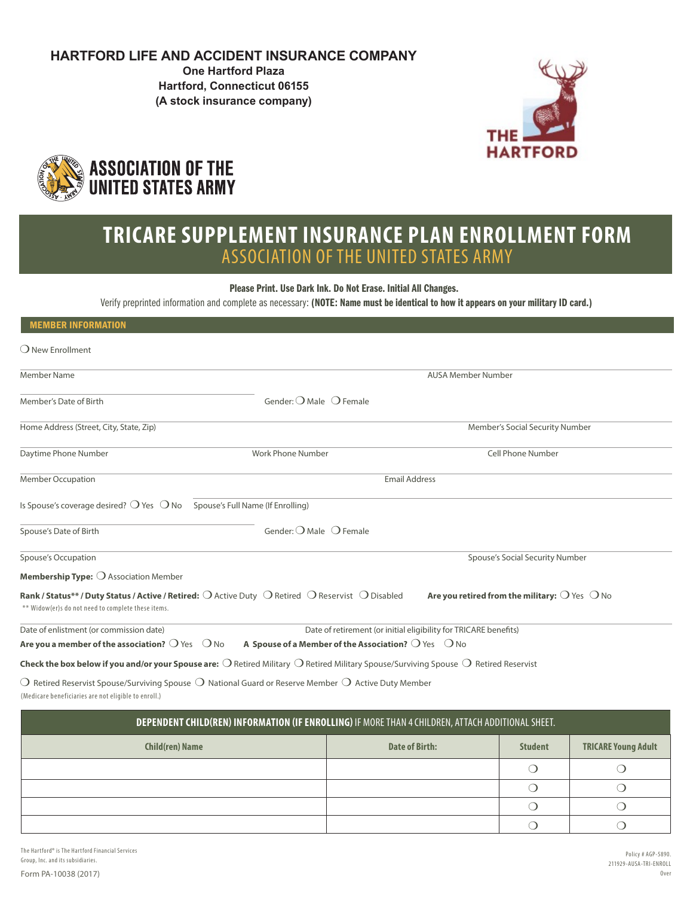# **HARTFORD LIFE AND ACCIDENT INSURANCE COMPANY**

**One Hartford Plaza Hartford, Connecticut 06155 (A stock insurance company)**





# **TRICARE SUPPLEMENT INSURANCE PLAN ENROLLMENT FORM** ASSOCIATION OF THE UNITED STATES ARMY

Please Print. Use Dark Ink. Do Not Erase. Initial All Changes.

Verify preprinted information and complete as necessary: (NOTE: Name must be identical to how it appears on your military ID card.)

| <b>MEMBER INFORMATION</b>                                                                                                                                       |                                                                       |                                                                  |
|-----------------------------------------------------------------------------------------------------------------------------------------------------------------|-----------------------------------------------------------------------|------------------------------------------------------------------|
| O New Enrollment                                                                                                                                                |                                                                       |                                                                  |
| <b>Member Name</b>                                                                                                                                              |                                                                       | <b>AUSA Member Number</b>                                        |
| Member's Date of Birth                                                                                                                                          | Gender: $O$ Male $O$ Female                                           |                                                                  |
| Home Address (Street, City, State, Zip)                                                                                                                         |                                                                       | Member's Social Security Number                                  |
| Daytime Phone Number                                                                                                                                            | Work Phone Number                                                     | <b>Cell Phone Number</b>                                         |
| <b>Member Occupation</b>                                                                                                                                        | <b>Email Address</b>                                                  |                                                                  |
| Is Spouse's coverage desired? $\bigcirc$ Yes $\bigcirc$ No Spouse's Full Name (If Enrolling)                                                                    |                                                                       |                                                                  |
| Spouse's Date of Birth                                                                                                                                          | Gender: $\bigcirc$ Male $\bigcirc$ Female                             |                                                                  |
| Spouse's Occupation                                                                                                                                             |                                                                       | Spouse's Social Security Number                                  |
| Membership Type: O Association Member                                                                                                                           |                                                                       |                                                                  |
| Rank / Status** / Duty Status / Active / Retired: O Active Duty O Retired O Reservist O Disabled<br>** Widow(er)s do not need to complete these items.          |                                                                       | Are you retired from the military: $\bigcirc$ Yes $\bigcirc$ No  |
| Date of enlistment (or commission date)                                                                                                                         |                                                                       | Date of retirement (or initial eligibility for TRICARE benefits) |
| Are you a member of the association? $\bigcirc$ Yes $\bigcirc$ No                                                                                               | A Spouse of a Member of the Association? $\bigcirc$ Yes $\bigcirc$ No |                                                                  |
| Check the box below if you and/or your Spouse are: $\bigcirc$ Retired Military $\bigcirc$ Retired Military Spouse/Surviving Spouse $\bigcirc$ Retired Reservist |                                                                       |                                                                  |

(Medicare beneficiaries are not eligible to enroll.)  $\bigcirc$  Retired Reservist Spouse/Surviving Spouse  $\bigcirc$  National Guard or Reserve Member  $\bigcirc$  Active Duty Member

| DEPENDENT CHILD(REN) INFORMATION (IF ENROLLING) IF MORE THAN 4 CHILDREN, ATTACH ADDITIONAL SHEET. |                |                |                            |
|---------------------------------------------------------------------------------------------------|----------------|----------------|----------------------------|
| <b>Child(ren) Name</b>                                                                            | Date of Birth: | <b>Student</b> | <b>TRICARE Young Adult</b> |
|                                                                                                   |                |                |                            |
|                                                                                                   |                |                |                            |
|                                                                                                   |                |                |                            |
|                                                                                                   |                |                |                            |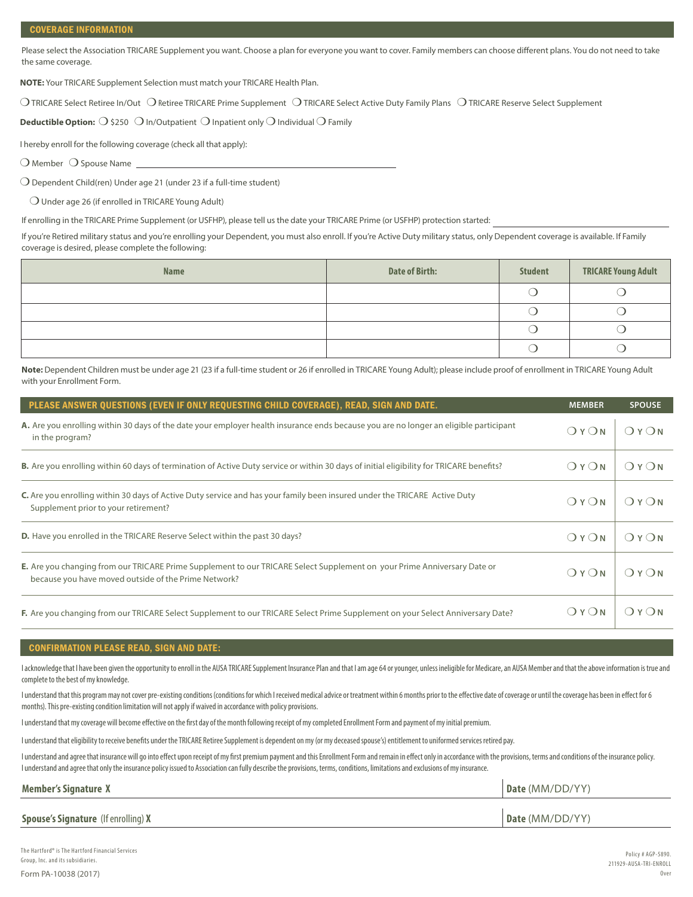Please select the Association TRICARE Supplement you want. Choose a plan for everyone you want to cover. Family members can choose different plans. You do not need to take the same coverage.

**NOTE:** Your TRICARE Supplement Selection must match your TRICARE Health Plan.

❍ TRICARE Select Retiree In/Out ❍ Retiree TRICARE Prime Supplement ❍ TRICARE Select Active Duty Family Plans ❍ TRICARE Reserve Select Supplement

**Deductible Option:** ❍ \$250 ❍ In/Outpatient ❍ Inpatient only ❍ Individual ❍ Family

I hereby enroll for the following coverage (check all that apply):

 $\bigcirc$  Member  $\bigcirc$  Spouse Name \_

❍ Dependent Child(ren) Under age 21 (under 23 if a full-time student)

❍ Under age 26 (if enrolled in TRICARE Young Adult)

If enrolling in the TRICARE Prime Supplement (or USFHP), please tell us the date your TRICARE Prime (or USFHP) protection started:

If you're Retired military status and you're enrolling your Dependent, you must also enroll. If you're Active Duty military status, only Dependent coverage is available. If Family coverage is desired, please complete the following:

| <b>Name</b> | <b>Date of Birth:</b> | <b>Student</b> | <b>TRICARE Young Adult</b> |
|-------------|-----------------------|----------------|----------------------------|
|             |                       |                |                            |
|             |                       |                |                            |
|             |                       |                |                            |
|             |                       |                |                            |

**Note:** Dependent Children must be under age 21 (23 if a full-time student or 26 if enrolled in TRICARE Young Adult); please include proof of enrollment in TRICARE Young Adult with your Enrollment Form.

| PLEASE ANSWER QUESTIONS (EVEN IF ONLY REQUESTING CHILD COVERAGE), READ, SIGN AND DATE.                                                                                           | <b>MEMBER</b> | <b>SPOUSE</b>             |
|----------------------------------------------------------------------------------------------------------------------------------------------------------------------------------|---------------|---------------------------|
| A. Are you enrolling within 30 days of the date your employer health insurance ends because you are no longer an eligible participant<br>in the program?                         | OYON          | $\bigcirc$ Y $\bigcirc$ N |
| <b>B.</b> Are you enrolling within 60 days of termination of Active Duty service or within 30 days of initial eligibility for TRICARE benefits?                                  | OYON          | QYQN                      |
| C. Are you enrolling within 30 days of Active Duty service and has your family been insured under the TRICARE Active Duty<br>Supplement prior to your retirement?                | OYON          | OYON                      |
| <b>D.</b> Have you enrolled in the TRICARE Reserve Select within the past 30 days?                                                                                               | OYON          | OYON                      |
| E. Are you changing from our TRICARE Prime Supplement to our TRICARE Select Supplement on your Prime Anniversary Date or<br>because you have moved outside of the Prime Network? | OYON          | OYON                      |
| F. Are you changing from our TRICARE Select Supplement to our TRICARE Select Prime Supplement on your Select Anniversary Date?                                                   | OYON          | OYON                      |

# CONFIRMATION PLEASE READ, SIGN AND DATE:

I acknowledge that I have been given the opportunity to enroll in the AUSA TRICARE Supplement Insurance Plan and that I am age 64 or younger, unless ineligible for Medicare, an AUSA Member and that the above information is complete to the best of my knowledge.

I understand that this program may not cover pre-existing conditions (conditions for which I received medical advice or treatment within 6 months prior to the effective date of coverage or until the coverage has been in ef months). This pre-existing condition limitation will not apply if waived in accordance with policy provisions.

I understand that my coverage will become effective on the first day of the month following receipt of my completed Enrollment Form and payment of my initial premium.

I understand that eligibility to receive benefits under the TRICARE Retiree Supplement is dependent on my (or my deceased spouse's) entitlement to uniformed services retired pay.

I understand and agree that insurance will go into effect upon receipt of my first premium payment and this Enrollment Form and remain in effect only in accordance with the provisions, terms and conditions of the insurance I understand and agree that only the insurance policy issued to Association can fully describe the provisions, terms, conditions, limitations and exclusions of my insurance.

| <b>Member's Signature X</b>                | Date (MM/DD/YY) |
|--------------------------------------------|-----------------|
| <b>Spouse's Signature (If enrolling) X</b> | Date (MM/DD/YY) |

 $\frac{1}{2}$  Form PA-10038 (2017)  $\frac{1}{2}$ The Hartford® is The Hartford Financial Services Group, Inc. and its subsidiaries.